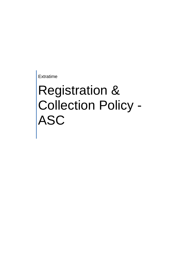Extratime

# Registration & Collection Policy - ASC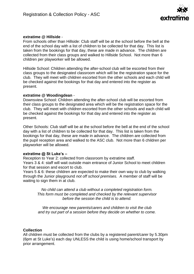

### **extratime @ Hillside** -

From schools other than Hillside: Club staff will be at the school before the bell at the end of the school day with a list of children to be collected for that day. This list is taken from the bookings for that day, these are made in advance. The children are collected from their class groups and walked to Hillside School. Not more than 6 children per playworker will be allowed.

Hillside School: Children attending the after-school club will be escorted from their class groups to the designated classroom which will be the registration space for the club. They will meet with children escorted from the other schools and each child will be checked against the bookings for that day and entered into the register as present.

## **extratime @ Woodingdean** -

Downsview School: Children attending the after-school club will be escorted from their class groups to the designated area which will be the registration space for the club. They will meet with children escorted from the other schools and each child will be checked against the bookings for that day and entered into the register as present.

Other Schools: Club staff will be at the school before the bell at the end of the school day with a list of children to be collected for that day. This list is taken from the bookings for that day, these are made in advance. The children are collected from the pupil reception area and walked to the ASC club. Not more than 6 children per playworker will be allowed.

#### **extratime @ St Luke's –**

Reception to Year 2: collected from classroom by extratime staff.

Years 3 & 4: staff will wait outside main entrance of Junior School to meet children for that session and escort to club.

Years 5 & 6: these children are expected to make their own way to club by walking through the Junior playground *not off school premises.* A member of staff will be waiting to sign them in at club.

*No child can attend a club without a completed registration form. This form must be completed and checked by the relevant supervisor before the session the child is to attend.*

*We encourage new parents/carers and children to visit the club and try out part of a session before they decide on whether to come.*

#### **Collection**

All children must be collected from the clubs by a registered parent/carer by 5.30pm (6pm at St Luke's) each day UNLESS the child is using home/school transport by prior arrangement.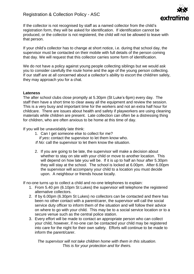

If the collector is not recognised by staff as a named collector from the child's registration form, they will be asked for identification. If identification cannot be produced, or the collector is not registered, the child will not be allowed to leave with that person.

If your child's collector has to change at short notice, i.e. during that school day, the supervisor must be contacted on their mobile with full details of the person coming that day. We will request that this collector carries some form of identification.

We do not have a policy against young people collecting siblings but we would ask you to consider carefully the route home and the age of the young person collecting. If our staff are at all concerned about a collector's ability to escort the child/ren safely, they may approach you for a chat.

#### **Lateness**

The after school clubs close promptly at 5.30pm (St Luke's 6pm) every day. The staff then have a short time to clear away all the equipment and review the session. This is a very busy and important time for the workers and not an extra half hour for childcare. There are issues about health and safety if playworkers are using cleaning materials while children are present. Late collection can often be a distressing thing for children, who are often anxious to be home at this time of day.

If you will be unavoidably late think:

- 1. Can I get someone else to collect for me?
- *If yes***:** contact the supervisor to let them know who.
- *If No:* call the supervisor to let them know the situation.
- 2. If you are going to be late, the supervisor will make a decision about whether to stay on site with your child or move to another location. This will depend on how late you will be. If it is up to half an hour after 5.30pm they will stay at the school. The school is locked at 6.00pm. After 6.00pm the supervisor will accompany your child to a location you must decide upon. A neighbour or friends house locally.

If no-one turns up to collect a child and no-one telephones to explain:

- 1. From 5.40 pm (6.10pm St Lukes) the supervisor will telephone the registered alternative collectors.
- 2. If by 6.00pm (6.30pm St Lukes) no collectors can be contacted and there has been no other contact with a parent/carer, the supervisor will call the social service duty officer to inform them of the situation and will follow their advice on where to go with your child. This may be to a social service location or to a secure venue such as the central police station.
- 3. Every effort will be made to contact an appropriate person who can collect your child, however, if no-one can be contacted your child may be registered into care for the night for their own safety. Efforts will continue to be made to inform the parent/carer.

*The supervisor will not take children home with them in this situation. This is for your protection and for theirs.*